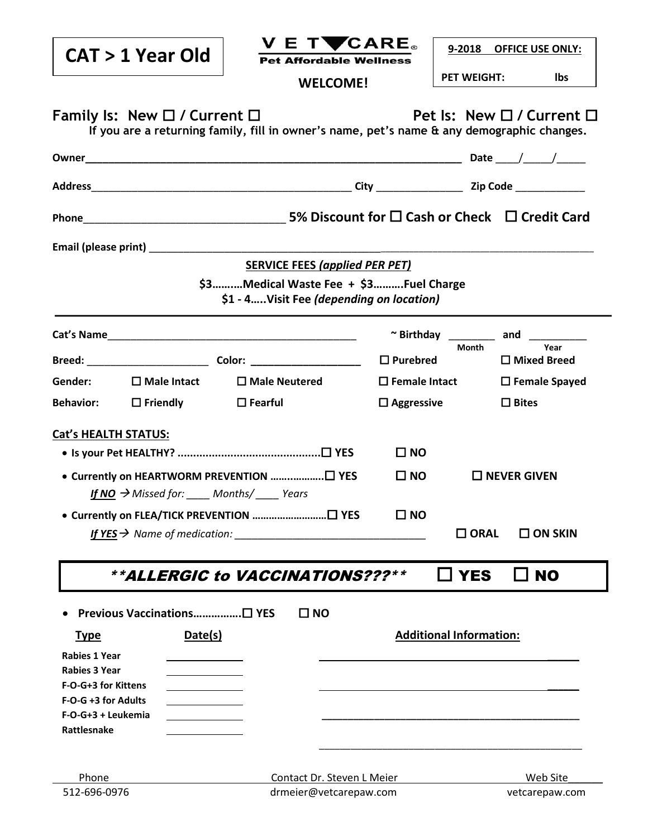|                                          | CAT > 1 Year Old                       | V E TVCARE。<br><b>Pet Affordable Wellness</b>                                              |                         | 9-2018 OFFICE USE ONLY:             |                         |      |
|------------------------------------------|----------------------------------------|--------------------------------------------------------------------------------------------|-------------------------|-------------------------------------|-------------------------|------|
|                                          |                                        | <b>WELCOME!</b>                                                                            |                         | <b>PET WEIGHT:</b>                  | lbs                     |      |
|                                          |                                        |                                                                                            |                         |                                     |                         |      |
|                                          | Family Is: New $\Box$ / Current $\Box$ | If you are a returning family, fill in owner's name, pet's name & any demographic changes. |                         | Pet Is: New $\Box$ / Current $\Box$ |                         |      |
|                                          |                                        |                                                                                            |                         |                                     |                         |      |
|                                          |                                        |                                                                                            |                         |                                     |                         |      |
| Phone                                    |                                        |                                                                                            |                         |                                     |                         |      |
|                                          |                                        |                                                                                            |                         |                                     |                         |      |
|                                          |                                        | <b>SERVICE FEES (applied PER PET)</b>                                                      |                         |                                     |                         |      |
|                                          |                                        | \$3Medical Waste Fee + \$3Fuel Charge<br>\$1 - 4Visit Fee (depending on location)          |                         |                                     |                         |      |
|                                          |                                        |                                                                                            |                         | ~ Birthday and and                  |                         |      |
|                                          |                                        |                                                                                            | $\Box$ Purebred         | <b>Month</b>                        | $\Box$ Mixed Breed      | Year |
| Gender:                                  | $\square$ Male Intact                  | $\Box$ Male Neutered                                                                       | $\square$ Female Intact |                                     | $\square$ Female Spayed |      |
| <b>Behavior:</b>                         | $\square$ Friendly $\square$ Fearful   |                                                                                            | $\Box$ Aggressive       |                                     | $\Box$ Bites            |      |
| <b>Cat's HEALTH STATUS:</b>              |                                        |                                                                                            |                         |                                     |                         |      |
|                                          | $\square$ NO                           |                                                                                            |                         |                                     |                         |      |
|                                          | $\square$ NO                           | $\Box$ NEVER GIVEN                                                                         |                         |                                     |                         |      |
|                                          |                                        | If NO $\rightarrow$ Missed for: _____ Months/_____ Years                                   |                         |                                     |                         |      |
|                                          |                                        |                                                                                            | $\square$ NO            |                                     |                         |      |
| If $YES \rightarrow$ Name of medication: |                                        | $\square$ ORAL                                                                             |                         | $\square$ ON SKIN                   |                         |      |
|                                          |                                        | <i><b>**ALLERGIC to VACCINATIONS???**</b></i>                                              |                         | $\square$ YES                       | $\Box$ No               |      |
|                                          | Previous Vaccinations□ YES             | $\square$ NO                                                                               |                         |                                     |                         |      |
| <u>Type</u>                              | Date(s)                                |                                                                                            |                         | <b>Additional Information:</b>      |                         |      |
| <b>Rabies 1 Year</b>                     |                                        |                                                                                            |                         |                                     |                         |      |
| <b>Rabies 3 Year</b>                     |                                        |                                                                                            |                         |                                     |                         |      |
| F-O-G+3 for Kittens                      |                                        |                                                                                            |                         |                                     |                         |      |
| F-O-G +3 for Adults                      |                                        |                                                                                            |                         |                                     |                         |      |
| F-O-G+3 + Leukemia                       |                                        |                                                                                            |                         |                                     |                         |      |
| Rattlesnake                              |                                        |                                                                                            |                         |                                     |                         |      |
|                                          |                                        |                                                                                            |                         |                                     |                         |      |
| Phone                                    |                                        | Contact Dr. Steven L Meier<br>Web Site                                                     |                         |                                     |                         |      |
| 512-696-0976                             |                                        | drmeier@vetcarepaw.com<br>vetcarepaw.com                                                   |                         |                                     |                         |      |